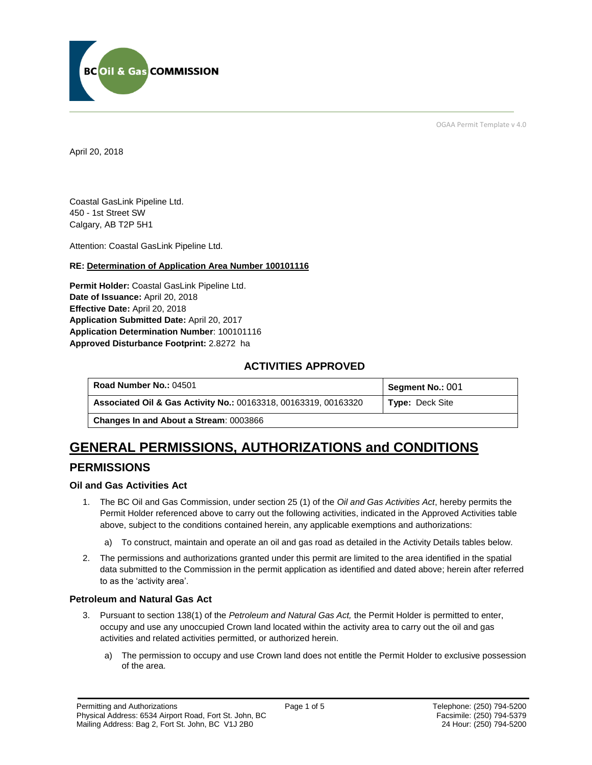

OGAA Permit Template v 4.0

April 20, 2018

Coastal GasLink Pipeline Ltd. 450 - 1st Street SW Calgary, AB T2P 5H1

[Attention:](#page-0-0) Coastal GasLink Pipeline Ltd.

#### **RE: Determination of Application Area Number 100101116**

**[Permit Holder:](#page-0-0)** Coastal GasLink Pipeline Ltd. **[Date of Issuance:](#page-0-0)** April 20, 2018 **[Effective Date:](#page-0-1)** April 20, 2018 **[Application Submitted Date:](#page-0-0)** April 20, 2017 **[Application Determination Number](#page-0-0)**: 100101116 **Approved Disturbance Footprint:** 2.8272 ha

## **ACTIVITIES APPROVED**

| <b>Road Number No.: 04501</b>                                   | Segment No.: 001       |
|-----------------------------------------------------------------|------------------------|
| Associated Oil & Gas Activity No.: 00163318, 00163319, 00163320 | <b>Type: Deck Site</b> |
| <b>Changes In and About a Stream: 0003866</b>                   |                        |

# **GENERAL PERMISSIONS, AUTHORIZATIONS and CONDITIONS**

## **PERMISSIONS**

#### **Oil and Gas Activities Act**

- <span id="page-0-0"></span>1. The BC Oil and Gas Commission, under section 25 (1) of the *Oil and Gas Activities Act*, hereby permits the Permit Holder referenced above to carry out the following activities, indicated in the Approved Activities table above, subject to the conditions contained herein, any applicable exemptions and authorizations:
	- a) To construct, maintain and operate an oil and gas road as detailed in the Activity Details tables below.
- <span id="page-0-1"></span>2. The permissions and authorizations granted under this permit are limited to the area identified in the spatial data submitted to the Commission in the permit application as identified and dated above; herein after referred to as the 'activity area'.

#### **Petroleum and Natural Gas Act**

- 3. Pursuant to section 138(1) of the *Petroleum and Natural Gas Act,* the Permit Holder is permitted to enter, occupy and use any unoccupied Crown land located within the activity area to carry out the oil and gas activities and related activities permitted, or authorized herein.
	- a) The permission to occupy and use Crown land does not entitle the Permit Holder to exclusive possession of the area.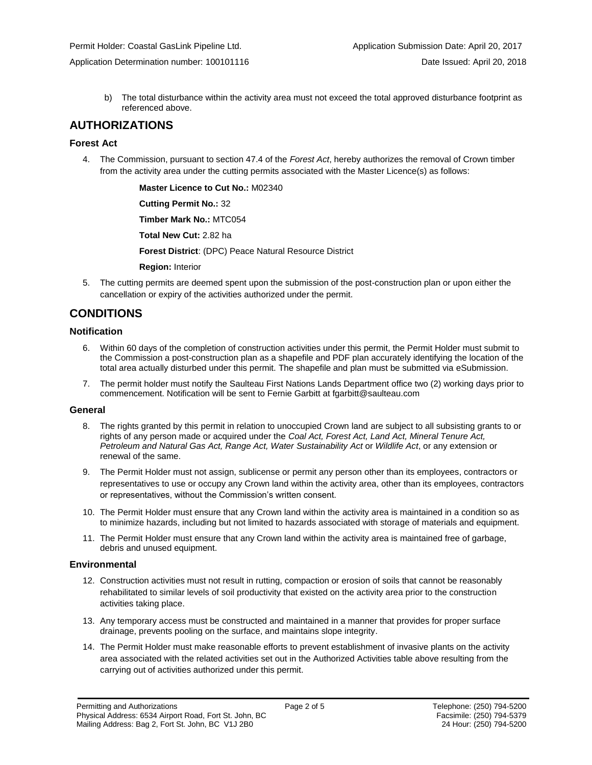Application Determination number: 100101116 Date Issued: April 20, 2018

b) The total disturbance within the activity area must not exceed the total approved disturbance footprint as referenced above.

## **AUTHORIZATIONS**

#### **Forest Act**

4. The Commission, pursuant to section 47.4 of the *Forest Act*, hereby authorizes the removal of Crown timber from the activity area under the cutting permits associated with the Master Licence(s) as follows:

**[Master Licence to Cut No.:](#page-0-0)** M02340

**[Cutting Permit No.:](#page-0-0)** 32

**[Timber Mark No.:](#page-0-0)** MTC054

**[Total New Cut:](#page-0-0)** 2.82 ha

**[Forest District](https://ams-crd.bcogc.ca/crd/)**: (DPC) Peace Natural Resource District

**[Region:](#page-0-1)** Interior

5. The cutting permits are deemed spent upon the submission of the post-construction plan or upon either the cancellation or expiry of the activities authorized under the permit.

## **CONDITIONS**

#### **Notification**

- 6. Within 60 days of the completion of construction activities under this permit, the Permit Holder must submit to the Commission a post-construction plan as a shapefile and PDF plan accurately identifying the location of the total area actually disturbed under this permit. The shapefile and plan must be submitted via eSubmission.
- 7. The permit holder must notify the Saulteau First Nations Lands Department office two (2) working days prior to commencement. Notification will be sent to Fernie Garbitt at fgarbitt@saulteau.com

#### **General**

- 8. The rights granted by this permit in relation to unoccupied Crown land are subject to all subsisting grants to or rights of any person made or acquired under the *Coal Act, Forest Act, Land Act, Mineral Tenure Act, Petroleum and Natural Gas Act, Range Act, Water Sustainability Act* or *Wildlife Act*, or any extension or renewal of the same.
- 9. The Permit Holder must not assign, sublicense or permit any person other than its employees, contractors or representatives to use or occupy any Crown land within the activity area, other than its employees, contractors or representatives, without the Commission's written consent.
- 10. The Permit Holder must ensure that any Crown land within the activity area is maintained in a condition so as to minimize hazards, including but not limited to hazards associated with storage of materials and equipment.
- 11. The Permit Holder must ensure that any Crown land within the activity area is maintained free of garbage, debris and unused equipment.

#### **Environmental**

- 12. Construction activities must not result in rutting, compaction or erosion of soils that cannot be reasonably rehabilitated to similar levels of soil productivity that existed on the activity area prior to the construction activities taking place.
- 13. Any temporary access must be constructed and maintained in a manner that provides for proper surface drainage, prevents pooling on the surface, and maintains slope integrity.
- 14. The Permit Holder must make reasonable efforts to prevent establishment of invasive plants on the activity area associated with the related activities set out in the Authorized Activities table above resulting from the carrying out of activities authorized under this permit.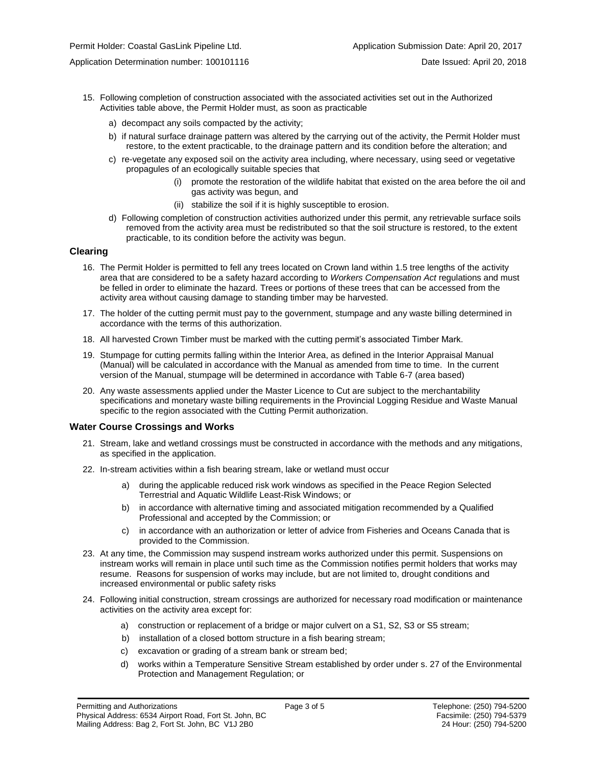- 15. Following completion of construction associated with the associated activities set out in the Authorized Activities table above, the Permit Holder must, as soon as practicable
	- a) decompact any soils compacted by the activity;
	- b) if natural surface drainage pattern was altered by the carrying out of the activity, the Permit Holder must restore, to the extent practicable, to the drainage pattern and its condition before the alteration; and
	- c) re-vegetate any exposed soil on the activity area including, where necessary, using seed or vegetative propagules of an ecologically suitable species that
		- (i) promote the restoration of the wildlife habitat that existed on the area before the oil and gas activity was begun, and
		- (ii) stabilize the soil if it is highly susceptible to erosion.
	- d) Following completion of construction activities authorized under this permit, any retrievable surface soils removed from the activity area must be redistributed so that the soil structure is restored, to the extent practicable, to its condition before the activity was begun.

#### **Clearing**

- 16. The Permit Holder is permitted to fell any trees located on Crown land within 1.5 tree lengths of the activity area that are considered to be a safety hazard according to *Workers Compensation Act* regulations and must be felled in order to eliminate the hazard. Trees or portions of these trees that can be accessed from the activity area without causing damage to standing timber may be harvested.
- 17. The holder of the cutting permit must pay to the government, stumpage and any waste billing determined in accordance with the terms of this authorization.
- 18. All harvested Crown Timber must be marked with the cutting permit's associated Timber Mark.
- 19. Stumpage for cutting permits falling within the Interior Area, as defined in the Interior Appraisal Manual (Manual) will be calculated in accordance with the Manual as amended from time to time. In the current version of the Manual, stumpage will be determined in accordance with Table 6-7 (area based)
- 20. Any waste assessments applied under the Master Licence to Cut are subject to the merchantability specifications and monetary waste billing requirements in the Provincial Logging Residue and Waste Manual specific to the region associated with the Cutting Permit authorization.

#### **Water Course Crossings and Works**

- 21. Stream, lake and wetland crossings must be constructed in accordance with the methods and any mitigations, as specified in the application.
- 22. In-stream activities within a fish bearing stream, lake or wetland must occur
	- a) [during the applicable reduced risk work windows as specified in the](#page-0-0) Peace Region Selected Terrestrial and Aquatic Wildlife Least-Risk Windows; or
	- b) in accordance with alternative timing and associated mitigation recommended by a Qualified Professional and accepted by the Commission; or
	- c) in accordance with an authorization or letter of advice from Fisheries and Oceans Canada that is provided to the Commission.
- 23. At any time, the Commission may suspend instream works authorized under this permit. Suspensions on instream works will remain in place until such time as the Commission notifies permit holders that works may resume. Reasons for suspension of works may include, but are not limited to, drought conditions and increased environmental or public safety risks
- 24. Following initial construction, stream crossings are authorized for necessary road modification or maintenance activities on the activity area except for:
	- a) construction or replacement of a bridge or major culvert on a S1, S2, S3 or S5 stream;
	- b) installation of a closed bottom structure in a fish bearing stream;
	- c) excavation or grading of a stream bank or stream bed;
	- d) works within a Temperature Sensitive Stream established by order under s. 27 of the Environmental Protection and Management Regulation; or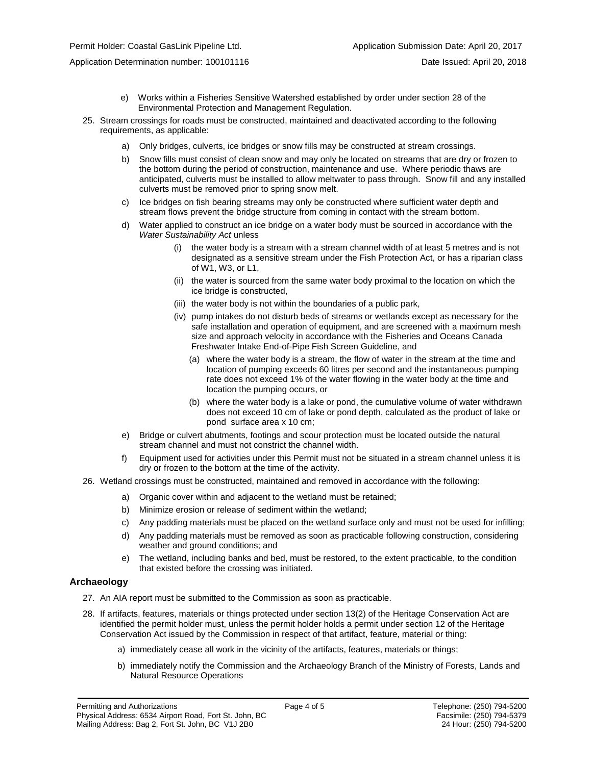Application Determination number: 100101116 **Date Issued: April 20, 2018** Date Issued: April 20, 2018

- e) Works within a Fisheries Sensitive Watershed established by order under section 28 of the Environmental Protection and Management Regulation.
- 25. Stream crossings for roads must be constructed, maintained and deactivated according to the following requirements, as applicable:
	- a) Only bridges, culverts, ice bridges or snow fills may be constructed at stream crossings.
	- b) Snow fills must consist of clean snow and may only be located on streams that are dry or frozen to the bottom during the period of construction, maintenance and use. Where periodic thaws are anticipated, culverts must be installed to allow meltwater to pass through. Snow fill and any installed culverts must be removed prior to spring snow melt.
	- c) Ice bridges on fish bearing streams may only be constructed where sufficient water depth and stream flows prevent the bridge structure from coming in contact with the stream bottom.
	- d) Water applied to construct an ice bridge on a water body must be sourced in accordance with the *Water Sustainability Act* unless
		- (i) the water body is a stream with a stream channel width of at least 5 metres and is not designated as a sensitive stream under the Fish Protection Act, or has a riparian class of W1, W3, or L1,
		- (ii) the water is sourced from the same water body proximal to the location on which the ice bridge is constructed,
		- (iii) the water body is not within the boundaries of a public park,
		- (iv) pump intakes do not disturb beds of streams or wetlands except as necessary for the safe installation and operation of equipment, and are screened with a maximum mesh size and approach velocity in accordance with the Fisheries and Oceans Canada Freshwater Intake End-of-Pipe Fish Screen Guideline, and
			- (a) where the water body is a stream, the flow of water in the stream at the time and location of pumping exceeds 60 litres per second and the instantaneous pumping rate does not exceed 1% of the water flowing in the water body at the time and location the pumping occurs, or
			- (b) where the water body is a lake or pond, the cumulative volume of water withdrawn does not exceed 10 cm of lake or pond depth, calculated as the product of lake or pond surface area x 10 cm;
	- e) Bridge or culvert abutments, footings and scour protection must be located outside the natural stream channel and must not constrict the channel width.
	- f) Equipment used for activities under this Permit must not be situated in a stream channel unless it is dry or frozen to the bottom at the time of the activity.
- 26. Wetland crossings must be constructed, maintained and removed in accordance with the following:
	- a) Organic cover within and adjacent to the wetland must be retained;
	- b) Minimize erosion or release of sediment within the wetland;
	- c) Any padding materials must be placed on the wetland surface only and must not be used for infilling;
	- d) Any padding materials must be removed as soon as practicable following construction, considering weather and ground conditions; and
	- e) The wetland, including banks and bed, must be restored, to the extent practicable, to the condition that existed before the crossing was initiated.

#### **Archaeology**

- 27. An AIA report must be submitted to the Commission as soon as practicable.
- 28. If artifacts, features, materials or things protected under section 13(2) of the Heritage Conservation Act are identified the permit holder must, unless the permit holder holds a permit under section 12 of the Heritage Conservation Act issued by the Commission in respect of that artifact, feature, material or thing:
	- a) immediately cease all work in the vicinity of the artifacts, features, materials or things;
	- b) immediately notify the Commission and the Archaeology Branch of the Ministry of Forests, Lands and Natural Resource Operations